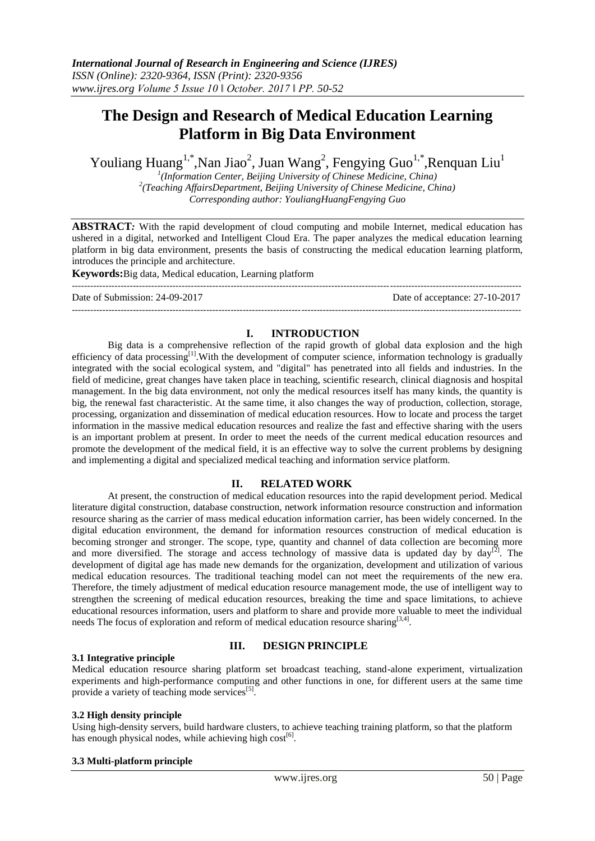# **The Design and Research of Medical Education Learning Platform in Big Data Environment**

Youliang Huang<sup>1,\*</sup>,Nan Jiao<sup>2</sup>, Juan Wang<sup>2</sup>, Fengying Guo<sup>1,\*</sup>,Renquan Liu<sup>1</sup>

*1 (Information Center, Beijing University of Chinese Medicine, China) 2 (Teaching AffairsDepartment, Beijing University of Chinese Medicine, China) Corresponding author: YouliangHuangFengying Guo*

**ABSTRACT***:* With the rapid development of cloud computing and mobile Internet, medical education has ushered in a digital, networked and Intelligent Cloud Era. The paper analyzes the medical education learning platform in big data environment, presents the basis of constructing the medical education learning platform, introduces the principle and architecture.

**Keywords:**Big data, Medical education, Learning platform

--------------------------------------------------------------------------------------------------------------------------------------------------- Date of Submission: 24-09-2017 Date of acceptance: 27-10-2017

# **I. INTRODUCTION**

---------------------------------------------------------------------------------------------------------------------------------------------------

Big data is a comprehensive reflection of the rapid growth of global data explosion and the high efficiency of data processing<sup>[1]</sup>. With the development of computer science, information technology is gradually integrated with the social ecological system, and "digital" has penetrated into all fields and industries. In the field of medicine, great changes have taken place in teaching, scientific research, clinical diagnosis and hospital management. In the big data environment, not only the medical resources itself has many kinds, the quantity is big, the renewal fast characteristic. At the same time, it also changes the way of production, collection, storage, processing, organization and dissemination of medical education resources. How to locate and process the target information in the massive medical education resources and realize the fast and effective sharing with the users is an important problem at present. In order to meet the needs of the current medical education resources and promote the development of the medical field, it is an effective way to solve the current problems by designing and implementing a digital and specialized medical teaching and information service platform.

## **II. RELATED WORK**

At present, the construction of medical education resources into the rapid development period. Medical literature digital construction, database construction, network information resource construction and information resource sharing as the carrier of mass medical education information carrier, has been widely concerned. In the digital education environment, the demand for information resources construction of medical education is becoming stronger and stronger. The scope, type, quantity and channel of data collection are becoming more and more diversified. The storage and access technology of massive data is updated day by  $\text{day}^{[2]}$ . The development of digital age has made new demands for the organization, development and utilization of various medical education resources. The traditional teaching model can not meet the requirements of the new era. Therefore, the timely adjustment of medical education resource management mode, the use of intelligent way to strengthen the screening of medical education resources, breaking the time and space limitations, to achieve educational resources information, users and platform to share and provide more valuable to meet the individual needs The focus of exploration and reform of medical education resource sharing<sup>[3,4]</sup>.

#### **3.1 Integrative principle**

## **III. DESIGN PRINCIPLE**

Medical education resource sharing platform set broadcast teaching, stand-alone experiment, virtualization experiments and high-performance computing and other functions in one, for different users at the same time provide a variety of teaching mode services<sup>[5]</sup>.

#### **3.2 High density principle**

Using high-density servers, build hardware clusters, to achieve teaching training platform, so that the platform has enough physical nodes, while achieving high  $cost^{[6]}$ .

#### **3.3 Multi-platform principle**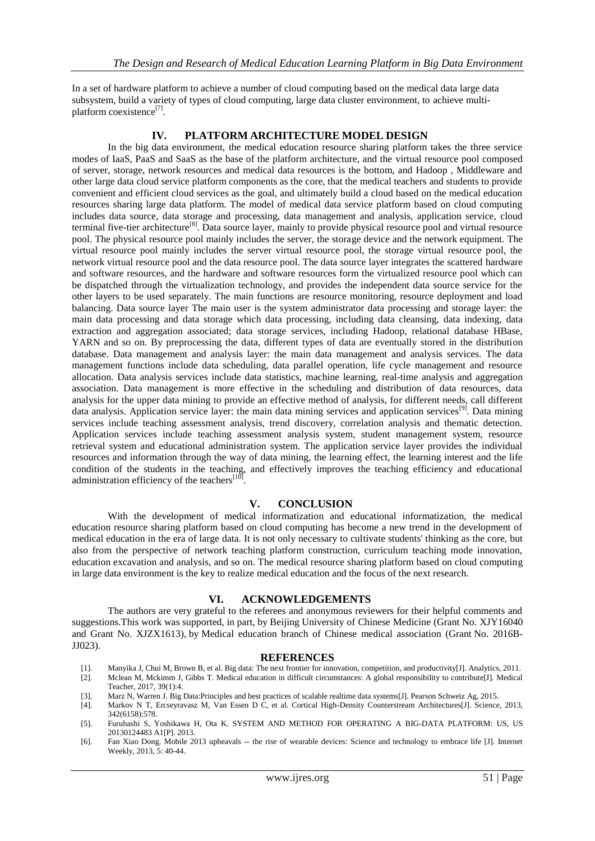In a set of hardware platform to achieve a number of cloud computing based on the medical data large data subsystem, build a variety of types of cloud computing, large data cluster environment, to achieve multiplatform coexistence<sup>[7]</sup>.

# **IV. PLATFORM ARCHITECTURE MODEL DESIGN**

In the big data environment, the medical education resource sharing platform takes the three service modes of IaaS, PaaS and SaaS as the base of the platform architecture, and the virtual resource pool composed of server, storage, network resources and medical data resources is the bottom, and Hadoop , Middleware and other large data cloud service platform components as the core, that the medical teachers and students to provide convenient and efficient cloud services as the goal, and ultimately build a cloud based on the medical education resources sharing large data platform. The model of medical data service platform based on cloud computing includes data source, data storage and processing, data management and analysis, application service, cloud terminal five-tier architecture<sup>[8]</sup>. Data source layer, mainly to provide physical resource pool and virtual resource pool. The physical resource pool mainly includes the server, the storage device and the network equipment. The virtual resource pool mainly includes the server virtual resource pool, the storage virtual resource pool, the network virtual resource pool and the data resource pool. The data source layer integrates the scattered hardware and software resources, and the hardware and software resources form the virtualized resource pool which can be dispatched through the virtualization technology, and provides the independent data source service for the other layers to be used separately. The main functions are resource monitoring, resource deployment and load balancing. Data source layer The main user is the system administrator data processing and storage layer: the main data processing and data storage which data processing, including data cleansing, data indexing, data extraction and aggregation associated; data storage services, including Hadoop, relational database HBase, YARN and so on. By preprocessing the data, different types of data are eventually stored in the distribution database. Data management and analysis layer: the main data management and analysis services. The data management functions include data scheduling, data parallel operation, life cycle management and resource allocation. Data analysis services include data statistics, machine learning, real-time analysis and aggregation association. Data management is more effective in the scheduling and distribution of data resources, data analysis for the upper data mining to provide an effective method of analysis, for different needs, call different data analysis. Application service layer: the main data mining services and application services<sup>[9]</sup>. Data mining services include teaching assessment analysis, trend discovery, correlation analysis and thematic detection. Application services include teaching assessment analysis system, student management system, resource retrieval system and educational administration system. The application service layer provides the individual resources and information through the way of data mining, the learning effect, the learning interest and the life condition of the students in the teaching, and effectively improves the teaching efficiency and educational administration efficiency of the teachers $[10]$ .

## **V. CONCLUSION**

With the development of medical informatization and educational informatization, the medical education resource sharing platform based on cloud computing has become a new trend in the development of medical education in the era of large data. It is not only necessary to cultivate students' thinking as the core, but also from the perspective of network teaching platform construction, curriculum teaching mode innovation, education excavation and analysis, and so on. The medical resource sharing platform based on cloud computing in large data environment is the key to realize medical education and the focus of the next research.

## **VI. ACKNOWLEDGEMENTS**

The authors are very grateful to the referees and anonymous reviewers for their helpful comments and suggestions.This work was supported, in part, by Beijing University of Chinese Medicine (Grant No. XJY16040 and Grant No. XJZX1613), by Medical education branch of Chinese medical association (Grant No. 2016B-JJ023).

#### **REFERENCES**

- [1]. Manyika J, Chui M, Brown B, et al. Big data: The next frontier for innovation, competition, and productivity[J]. Analytics, 2011.
- [2]. Mclean M, Mckimm J, Gibbs T. Medical education in difficult circumstances: A global responsibility to contribute[J]. Medical Teacher, 2017, 39(1):4.
- [3]. Marz N, Warren J. Big Data:Principles and best practices of scalable realtime data systems[J]. Pearson Schweiz Ag, 2015.
- [4]. Markov N T, Ercseyravasz M, Van Essen D C, et al. Cortical High-Density Counterstream Architectures[J]. Science, 2013, 342(6158):578.
- [5]. Furuhashi S, Yoshikawa H, Ota K. SYSTEM AND METHOD FOR OPERATING A BIG-DATA PLATFORM: US, US 20130124483 A1[P]. 2013.
- [6]. Fan Xiao Dong. Mobile 2013 upheavals -- the rise of wearable devices: Science and technology to embrace life [J]. Internet Weekly, 2013, 5: 40-44.